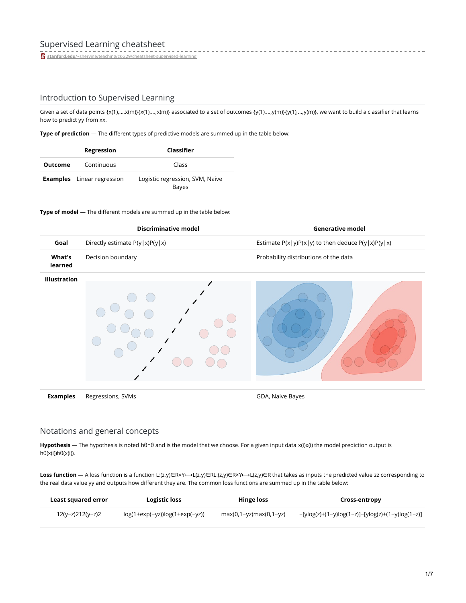**stanford.edu**[/~shervine/teaching/cs-229/cheatsheet-supervised-learning](https://stanford.edu/~shervine/teaching/cs-229/cheatsheet-supervised-learning)

## Introduction to Supervised Learning

Given a set of data points {x(1),...,x(m)}{x(1),...,x(m)} associated to a set of outcomes {y(1),...,y(m)}{y(1),...,y(m)}, we want to build a classifier that learns how to predict yy from xx.

- - - - - - - - - -

**Type of prediction** ― The different types of predictive models are summed up in the table below:

|                | Regression                        | Classifier                               |
|----------------|-----------------------------------|------------------------------------------|
| <b>Outcome</b> | Continuous                        | Class                                    |
|                | <b>Examples</b> Linear regression | Logistic regression, SVM, Naive<br>Bayes |

### **Type of model** ― The different models are summed up in the table below:

|                          | <b>Discriminative model</b>      | <b>Generative model</b>                               |
|--------------------------|----------------------------------|-------------------------------------------------------|
| Goal                     | Directly estimate $P(y x)P(y x)$ | Estimate $P(x y)P(x y)$ to then deduce $P(y x)P(y x)$ |
| <b>What's</b><br>learned | Decision boundary                | Probability distributions of the data                 |
| Illustration             |                                  |                                                       |
| <b>Examples</b>          | Regressions, SVMs                | GDA, Naive Bayes                                      |

## Notations and general concepts

**Hypothesis** ― The hypothesis is noted hθhθ and is the model that we choose. For a given input data x(i)x(i) the model prediction output is hθ(x(i))hθ(x(i)).

Loss function — A loss function is a function L:(z,y)∈R×Y←→L(z,y)∈R×Y←→L(z,y)∈R that takes as inputs the predicted value zz corresponding to the real data value yy and outputs how different they are. The common loss functions are summed up in the table below:

| Least squared error | Logistic loss                    | Hinge loss             | Cross-entropy                                    |
|---------------------|----------------------------------|------------------------|--------------------------------------------------|
| 12(y-z)212(y-z)2    | $log(1+exp(-yz))log(1+exp(-yz))$ | max(0,1-yz)max(0,1-yz) | -[ylog(z)+(1-y)log(1-z)]-[ylog(z)+(1-y)log(1-z)] |

------------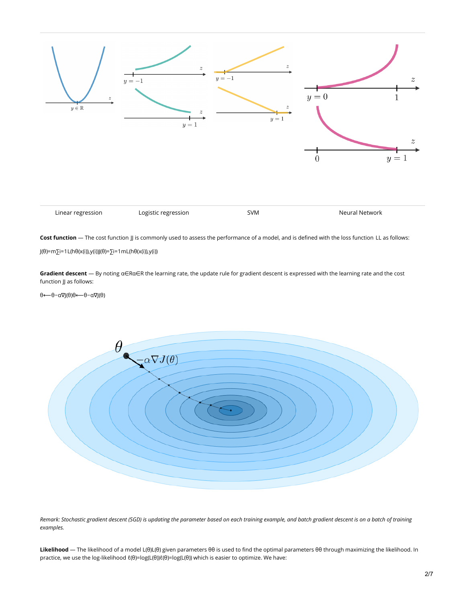

**Cost function** ― The cost function JJ is commonly used to assess the performance of a model, and is defined with the loss function LL as follows:

J(θ)=m∑i=1L(hθ(x(i)),y(i))J(θ)=∑i=1mL(hθ(x(i)),y(i))

**Gradient descent** ― By noting α∈Rα∈R the learning rate, the update rule for gradient descent is expressed with the learning rate and the cost function JJ as follows:

θ← $\theta$ -α∇J(θ)θ← $\theta$ -α∇J(θ)



Remark: Stochastic gradient descent (SGD) is updating the parameter based on each training example, and batch gradient descent is on a batch of training *examples.*

**Likelihood** ― The likelihood of a model L(θ)L(θ) given parameters θθ is used to find the optimal parameters θθ through maximizing the likelihood. In practice, we use the log-likelihood  $\ell(\theta)$ =log(L(θ)) $\ell(\theta)$ =log(L(θ)) which is easier to optimize. We have: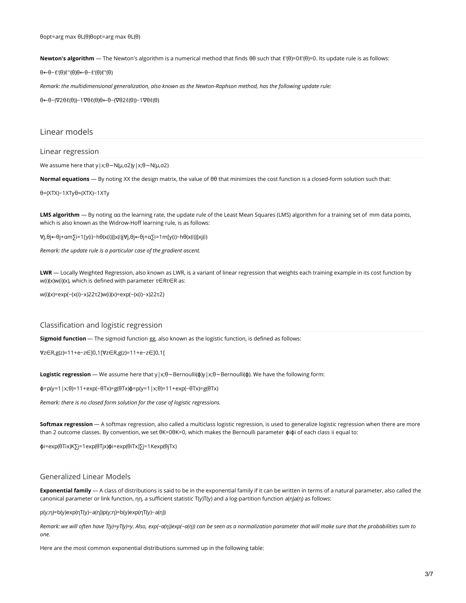**Newton's algorithm** ― The Newton's algorithm is a numerical method that finds θθ such that ℓ′(θ)=0ℓ′(θ)=0. Its update rule is as follows:

θ←θ−ℓ′(θ)ℓ′′(θ)θ←θ−ℓ′(θ)ℓ″(θ)

*Remark: the multidimensional generalization, also known as the Newton-Raphson method, has the following update rule:*

θ←θ−(∇2θℓ(θ))−1∇θℓ(θ)θ←θ−(∇θ2ℓ(θ))−1∇θℓ(θ)

### Linear models

#### Linear regression

We assume here that y|x;θ∼N(μ,σ2)y|x;θ∼N(μ,σ2)

**Normal equations** ― By noting XX the design matrix, the value of θθ that minimizes the cost function is a closed-form solution such that:

θ=(XTX)−1XTyθ=(XTX)−1XTy

**LMS algorithm** ― By noting αα the learning rate, the update rule of the Least Mean Squares (LMS) algorithm for a training set of mm data points, which is also known as the Widrow-Hoff learning rule, is as follows:

∀j,θj←θj+αm∑i=1[y(i)−hθ(x(i))]x(i)j∀j,θj←θj+α∑i=1m[y(i)−hθ(x(i))]xj(i)

*Remark: the update rule is a particular case of the gradient ascent.*

**LWR** ― Locally Weighted Regression, also known as LWR, is a variant of linear regression that weights each training example in its cost function by w(i)(x)w(i)(x), which is defined with parameter τ∈Rτ∈R as:

w(i)(x)=exp(−(x(i)−x)22τ2)w(i)(x)=exp(−(x(i)−x)22τ2)

Classification and logistic regression

**Sigmoid function** ― The sigmoid function gg, also known as the logistic function, is defined as follows:

∀z∈R,g(z)=11+e−z∈]0,1[∀z∈R,g(z)=11+e−z∈]0,1[

**Logistic regression** ― We assume here that y|x;θ∼Bernoulli(ϕ)y|x;θ∼Bernoulli(ϕ). We have the following form:

ϕ=p(y=1|x;θ)=11+exp(−θTx)=g(θTx)ϕ=p(y=1|x;θ)=11+exp(−θTx)=g(θTx)

*Remark: there is no closed form solution for the case of logistic regressions.*

**Softmax regression** ― A softmax regression, also called a multiclass logistic regression, is used to generalize logistic regression when there are more than 2 outcome classes. By convention, we set θK=0θK=0, which makes the Bernoulli parameter φiφi of each class ii equal to:

ϕi=exp(θTix)K∑j=1exp(θTjx)ϕi=exp(θiTx)∑j=1Kexp(θjTx)

### Generalized Linear Models

**Exponential family** ― A class of distributions is said to be in the exponential family if it can be written in terms of a natural parameter, also called the canonical parameter or link function, ηη, a sufficient statistic T(y)T(y) and a log-partition function a(η)a(η) as follows:

p(y;η)=b(y)exp(ηT(y)−a(η))p(y;η)=b(y)exp(ηT(y)−a(η))

Remark: we will often have T(y)=yT(y)=y. Also, exp(-a(n))exp(-a(n)) can be seen as a normalization parameter that will make sure that the probabilities sum to *one.*

Here are the most common exponential distributions summed up in the following table: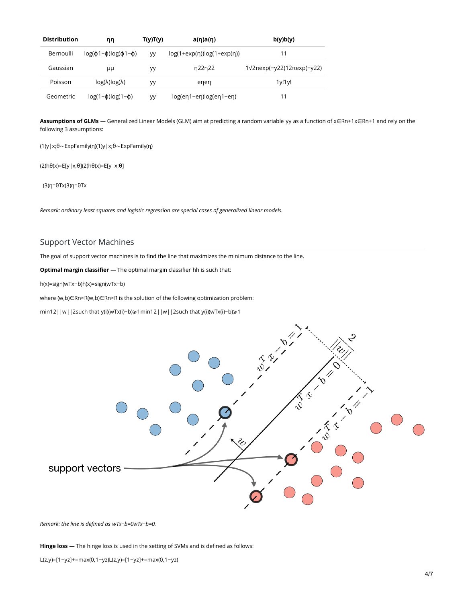| <b>Distribution</b> | ηη                                 | T(y)T(y)  | $a(\eta)a(\eta)$                   | b(y)b(y)                                   |
|---------------------|------------------------------------|-----------|------------------------------------|--------------------------------------------|
| Bernoulli           | $log(\phi_1-\phi)log(\phi_1-\phi)$ | <b>VV</b> | $log(1+exp(\eta))log(1+exp(\eta))$ | 11                                         |
| Gaussian            | μμ                                 | ٧V        | n22n22                             | $1\sqrt{2\pi}$ exp(-y22)12 $\pi$ exp(-y22) |
| Poisson             | $log(\lambda)log(\lambda)$         | yy        | enen                               | 1y!1y!                                     |
| Geometric           | $log(1-\phi)log(1-\phi)$           | <b>VV</b> | $log(en1-en)log(en1-en)$           | 11                                         |

**Assumptions of GLMs** ― Generalized Linear Models (GLM) aim at predicting a random variable yy as a function of x∈Rn+1x∈Rn+1 and rely on the following 3 assumptions:

(1)y|x;θ∼ExpFamily(η)(1)y|x;θ∼ExpFamily(η)

(2)hθ(x)=E[y|x;θ](2)hθ(x)=E[y|x;θ]

(3)η=θTx(3)η=θTx

*Remark: ordinary least squares and logistic regression are special cases of generalized linear models.*

# Support Vector Machines

The goal of support vector machines is to find the line that maximizes the minimum distance to the line.

**Optimal margin classifier** ― The optimal margin classifier hh is such that:

h(x)=sign(wTx−b)h(x)=sign(wTx−b)

where (w,b)∈Rn×R(w,b)∈Rn×R is the solution of the following optimization problem:

min12||w||2such that y(i)(wTx(i)−b)⩾1min12||w||2such that y(i)(wTx(i)−b)⩾1



*Remark: the line is defined as wTx−b=0wTx−b=0.*

**Hinge loss** ― The hinge loss is used in the setting of SVMs and is defined as follows:

L(z,y)=[1−yz]+=max(0,1−yz)L(z,y)=[1−yz]+=max(0,1−yz)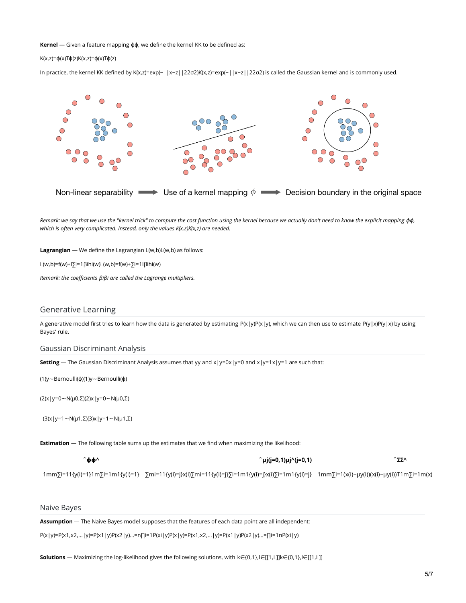#### **Kernel** ― Given a feature mapping ϕϕ, we define the kernel KK to be defined as:

#### K(x,z)=ϕ(x)Tϕ(z)K(x,z)=ϕ(x)Tϕ(z)

In practice, the kernel KK defined by K(x,z)=exp(−||x−z||22σ2)K(x,z)=exp(−||x−z||22σ2) is called the Gaussian kernel and is commonly used.



Remark: we say that we use the "kernel trick" to compute the cost function using the kernel because we actually don't need to know the explicit mapping  $\phi\phi$ , *which is often very complicated. Instead, only the values K(x,z)K(x,z) are needed.*

**Lagrangian** ― We define the Lagrangian L(w,b)L(w,b) as follows:

L(w,b)=f(w)+l∑i=1βihi(w)L(w,b)=f(w)+∑i=1lβihi(w)

*Remark: the coefficients βiβi are called the Lagrange multipliers.*

## Generative Learning

A generative model first tries to learn how the data is generated by estimating  $P(x|y)P(x|y)$ , which we can then use to estimate  $P(y|x)P(y|x)$  by using Bayes' rule.

#### Gaussian Discriminant Analysis

**Setting** — The Gaussian Discriminant Analysis assumes that yy and  $x|y=0x|y=0$  and  $x|y=1x|y=1$  are such that:

(1)y∼Bernoulli(ϕ)(1)y∼Bernoulli(ϕ)

(2)x|y=0∼N(μ0,Σ)(2)x|y=0∼N(μ0,Σ)

(3)x|y=1∼N(μ1,Σ)(3)x|y=1∼N(μ1,Σ)

**Estimation** ― The following table sums up the estimates that we find when maximizing the likelihood:

| ^фф^ | ^μj(j=0,1)μj^(j=0,1)                                                                                                                                                          |  |
|------|-------------------------------------------------------------------------------------------------------------------------------------------------------------------------------|--|
|      | 1mm\lin=11{y(i)=1}1m\lin=1m1{y(i)=1} \mnsi=1m(x(i)=1} \mnsi=11{y(i)=j}x(i)\lin=11{y(i)=j}\lin=1m1{y(i)=j}x(i)\lin=1m1{y(i)=j} 1mm\lin=1x(x(i)-µy(i))(x(i)-µy(i))T1m\lin=1m(x( |  |

Naive Bayes

**Assumption** ― The Naive Bayes model supposes that the features of each data point are all independent:

P(x|y)=P(x1,x2,...|y)=P(x1|y)P(x2|y)...=n∏i=1P(xi|y)P(x|y)=P(x1,x2,...|y)=P(x1|y)P(x2|y)...=∏i=1nP(xi|y)

**Solutions** ― Maximizing the log-likelihood gives the following solutions, with k∈{0,1},l∈[[1,L]]k∈{0,1},l∈[[1,L]]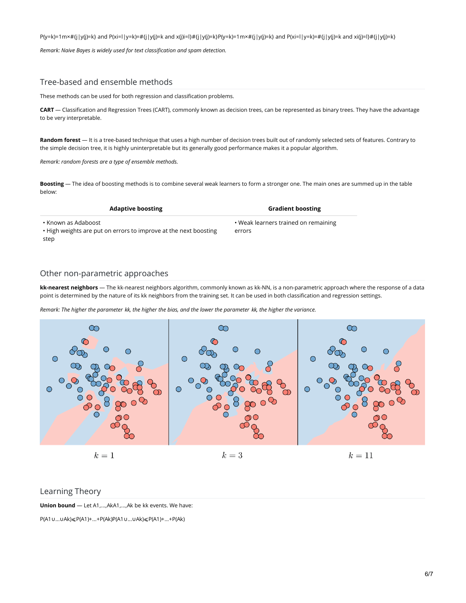$P(y=k)=1$ m×#{j|y(j)=k} and P(xi=l|y=k)=#{j|y(j)=k and x(j)i=l}#{j|y(j)=k}P(y=k)=1m×#{j|y(j)=k} and P(xi=l|y=k)=#{j|y(j)=k and xi(j)=l}#{j|y(j)=k}

*Remark: Naive Bayes is widely used for text classification and spam detection.*

# Tree-based and ensemble methods

These methods can be used for both regression and classification problems.

**CART** ― Classification and Regression Trees (CART), commonly known as decision trees, can be represented as binary trees. They have the advantage to be very interpretable.

**Random forest** ― It is a tree-based technique that uses a high number of decision trees built out of randomly selected sets of features. Contrary to the simple decision tree, it is highly uninterpretable but its generally good performance makes it a popular algorithm.

*Remark: random forests are a type of ensemble methods.*

**Boosting** ― The idea of boosting methods is to combine several weak learners to form a stronger one. The main ones are summed up in the table below:

| <b>Adaptive boosting</b>                                                                          | <b>Gradient boosting</b>                       |
|---------------------------------------------------------------------------------------------------|------------------------------------------------|
| • Known as Adaboost l<br>• High weights are put on errors to improve at the next boosting<br>step | • Weak learners trained on remaining<br>errors |

# Other non-parametric approaches

**kk-nearest neighbors** ― The kk-nearest neighbors algorithm, commonly known as kk-NN, is a non-parametric approach where the response of a data point is determined by the nature of its kk neighbors from the training set. It can be used in both classification and regression settings.

Remark: The higher the parameter kk, the higher the bias, and the lower the parameter kk, the higher the variance.



### Learning Theory

**Union bound** ― Let A1,...,AkA1,...,Ak be kk events. We have:

P(A1∪...∪Ak)⩽P(A1)+...+P(Ak)P(A1∪...∪Ak)⩽P(A1)+...+P(Ak)